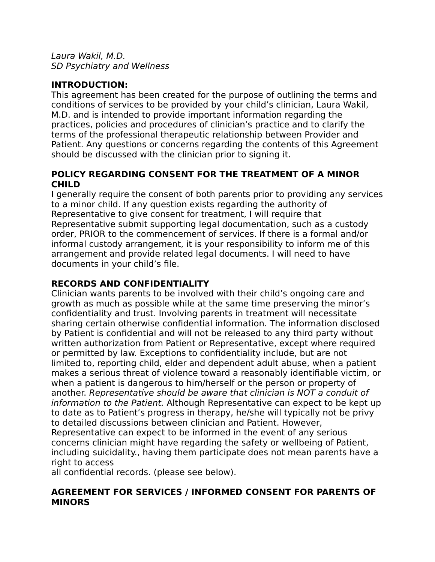Laura Wakil, M.D. SD Psychiatry and Wellness

# **INTRODUCTION:**

This agreement has been created for the purpose of outlining the terms and conditions of services to be provided by your child's clinician, Laura Wakil, M.D. and is intended to provide important information regarding the practices, policies and procedures of clinician's practice and to clarify the terms of the professional therapeutic relationship between Provider and Patient. Any questions or concerns regarding the contents of this Agreement should be discussed with the clinician prior to signing it.

### **POLICY REGARDING CONSENT FOR THE TREATMENT OF A MINOR CHILD**

I generally require the consent of both parents prior to providing any services to a minor child. If any question exists regarding the authority of Representative to give consent for treatment, I will require that Representative submit supporting legal documentation, such as a custody order, PRIOR to the commencement of services. If there is a formal and/or informal custody arrangement, it is your responsibility to inform me of this arrangement and provide related legal documents. I will need to have documents in your child's file.

# **RECORDS AND CONFIDENTIALITY**

Clinician wants parents to be involved with their child's ongoing care and growth as much as possible while at the same time preserving the minor's confidentiality and trust. Involving parents in treatment will necessitate sharing certain otherwise confidential information. The information disclosed by Patient is confidential and will not be released to any third party without written authorization from Patient or Representative, except where required or permitted by law. Exceptions to confidentiality include, but are not limited to, reporting child, elder and dependent adult abuse, when a patient makes a serious threat of violence toward a reasonably identifiable victim, or when a patient is dangerous to him/herself or the person or property of another. Representative should be aware that clinician is NOT a conduit of information to the Patient. Although Representative can expect to be kept up to date as to Patient's progress in therapy, he/she will typically not be privy to detailed discussions between clinician and Patient. However,

Representative can expect to be informed in the event of any serious concerns clinician might have regarding the safety or wellbeing of Patient, including suicidality., having them participate does not mean parents have a right to access

all confidential records. (please see below).

#### **AGREEMENT FOR SERVICES / INFORMED CONSENT FOR PARENTS OF MINORS**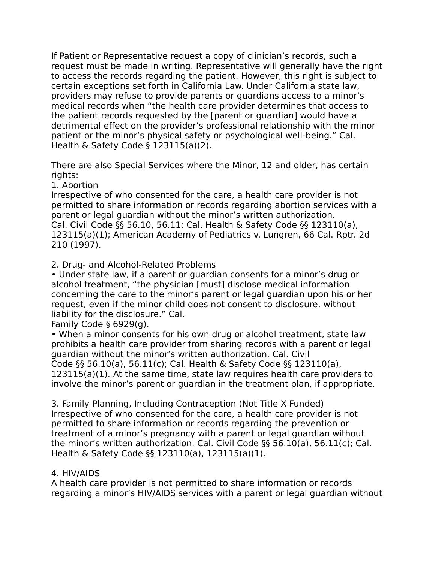If Patient or Representative request a copy of clinician's records, such a request must be made in writing. Representative will generally have the right to access the records regarding the patient. However, this right is subject to certain exceptions set forth in California Law. Under California state law, providers may refuse to provide parents or guardians access to a minor's medical records when "the health care provider determines that access to the patient records requested by the [parent or guardian] would have a detrimental effect on the provider's professional relationship with the minor patient or the minor's physical safety or psychological well-being." Cal. Health & Safety Code § 123115(a)(2).

There are also Special Services where the Minor, 12 and older, has certain rights:

1. Abortion

Irrespective of who consented for the care, a health care provider is not permitted to share information or records regarding abortion services with a parent or legal guardian without the minor's written authorization. Cal. Civil Code §§ 56.10, 56.11; Cal. Health & Safety Code §§ 123110(a), 123115(a)(1); American Academy of Pediatrics v. Lungren, 66 Cal. Rptr. 2d 210 (1997).

2. Drug- and Alcohol-Related Problems

• Under state law, if a parent or guardian consents for a minor's drug or alcohol treatment, "the physician [must] disclose medical information concerning the care to the minor's parent or legal guardian upon his or her request, even if the minor child does not consent to disclosure, without liability for the disclosure." Cal.

Family Code § 6929(g).

• When a minor consents for his own drug or alcohol treatment, state law prohibits a health care provider from sharing records with a parent or legal guardian without the minor's written authorization. Cal. Civil Code §§ 56.10(a), 56.11(c); Cal. Health & Safety Code §§ 123110(a), 123115(a)(1). At the same time, state law requires health care providers to involve the minor's parent or guardian in the treatment plan, if appropriate.

3. Family Planning, Including Contraception (Not Title X Funded) Irrespective of who consented for the care, a health care provider is not permitted to share information or records regarding the prevention or treatment of a minor's pregnancy with a parent or legal guardian without the minor's written authorization. Cal. Civil Code §§ 56.10(a), 56.11(c); Cal. Health & Safety Code §§ 123110(a), 123115(a)(1).

#### 4. HIV/AIDS

A health care provider is not permitted to share information or records regarding a minor's HIV/AIDS services with a parent or legal guardian without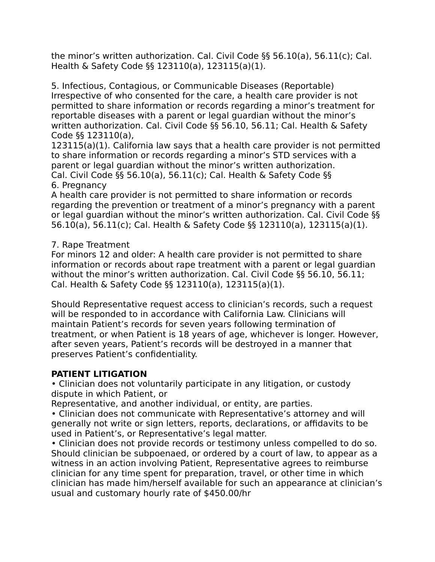the minor's written authorization. Cal. Civil Code §§ 56.10(a), 56.11(c); Cal. Health & Safety Code §§ 123110(a), 123115(a)(1).

5. Infectious, Contagious, or Communicable Diseases (Reportable) Irrespective of who consented for the care, a health care provider is not permitted to share information or records regarding a minor's treatment for reportable diseases with a parent or legal guardian without the minor's written authorization. Cal. Civil Code §§ 56.10, 56.11; Cal. Health & Safety Code §§ 123110(a),

123115(a)(1). California law says that a health care provider is not permitted to share information or records regarding a minor's STD services with a parent or legal guardian without the minor's written authorization. Cal. Civil Code §§ 56.10(a), 56.11(c); Cal. Health & Safety Code §§ 6. Pregnancy

A health care provider is not permitted to share information or records regarding the prevention or treatment of a minor's pregnancy with a parent or legal guardian without the minor's written authorization. Cal. Civil Code §§ 56.10(a), 56.11(c); Cal. Health & Safety Code §§ 123110(a), 123115(a)(1).

### 7. Rape Treatment

For minors 12 and older: A health care provider is not permitted to share information or records about rape treatment with a parent or legal guardian without the minor's written authorization. Cal. Civil Code §§ 56.10, 56.11; Cal. Health & Safety Code §§ 123110(a), 123115(a)(1).

Should Representative request access to clinician's records, such a request will be responded to in accordance with California Law. Clinicians will maintain Patient's records for seven years following termination of treatment, or when Patient is 18 years of age, whichever is longer. However, after seven years, Patient's records will be destroyed in a manner that preserves Patient's confidentiality.

### **PATIENT LITIGATION**

• Clinician does not voluntarily participate in any litigation, or custody dispute in which Patient, or

Representative, and another individual, or entity, are parties.

• Clinician does not communicate with Representative's attorney and will generally not write or sign letters, reports, declarations, or affidavits to be used in Patient's, or Representative's legal matter.

• Clinician does not provide records or testimony unless compelled to do so. Should clinician be subpoenaed, or ordered by a court of law, to appear as a witness in an action involving Patient, Representative agrees to reimburse clinician for any time spent for preparation, travel, or other time in which clinician has made him/herself available for such an appearance at clinician's usual and customary hourly rate of \$450.00/hr